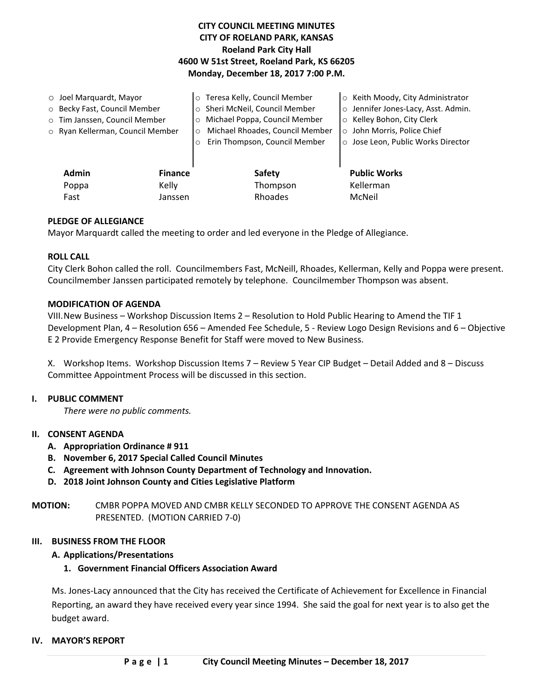# **CITY COUNCIL MEETING MINUTES CITY OF ROELAND PARK, KANSAS Roeland Park City Hall 4600 W 51st Street, Roeland Park, KS 66205 Monday, December 18, 2017 7:00 P.M.**

|                              | $\circ$ Joel Marquardt, Mayor    |         | o Teresa Kelly, Council Member             | o Keith Moody, City Administrator   |
|------------------------------|----------------------------------|---------|--------------------------------------------|-------------------------------------|
| O Becky Fast, Council Member |                                  |         | o Sheri McNeil, Council Member             | o Jennifer Jones-Lacy, Asst. Admin. |
|                              | o Tim Janssen, Council Member    |         | o Michael Poppa, Council Member            | ○ Kelley Bohon, City Clerk          |
|                              | ○ Ryan Kellerman, Council Member |         | Michael Rhoades, Council Member<br>$\circ$ | o John Morris, Police Chief         |
|                              |                                  | $\circ$ | Erin Thompson, Council Member              | o Jose Leon, Public Works Director  |
|                              |                                  |         |                                            |                                     |
|                              | <b>Admin</b><br><b>Finance</b>   |         | <b>Safety</b>                              | <b>Public Works</b>                 |
|                              | Kelly<br>Poppa                   |         | Thompson                                   | Kellerman                           |
|                              | Fast<br>Janssen                  |         | Rhoades                                    | McNeil                              |
|                              |                                  |         |                                            |                                     |

## **PLEDGE OF ALLEGIANCE**

Mayor Marquardt called the meeting to order and led everyone in the Pledge of Allegiance.

#### **ROLL CALL**

City Clerk Bohon called the roll. Councilmembers Fast, McNeill, Rhoades, Kellerman, Kelly and Poppa were present. Councilmember Janssen participated remotely by telephone. Councilmember Thompson was absent.

#### **MODIFICATION OF AGENDA**

VIII.New Business – Workshop Discussion Items 2 – Resolution to Hold Public Hearing to Amend the TIF 1 Development Plan, 4 – Resolution 656 – Amended Fee Schedule, 5 - Review Logo Design Revisions and 6 – Objective E 2 Provide Emergency Response Benefit for Staff were moved to New Business.

X. Workshop Items. Workshop Discussion Items 7 – Review 5 Year CIP Budget – Detail Added and 8 – Discuss Committee Appointment Process will be discussed in this section.

#### **I. PUBLIC COMMENT**

*There were no public comments.* 

#### **II. CONSENT AGENDA**

- **A. Appropriation Ordinance # 911**
- **B. November 6, 2017 Special Called Council Minutes**
- **C. Agreement with Johnson County Department of Technology and Innovation.**
- **D. 2018 Joint Johnson County and Cities Legislative Platform**

**MOTION:** CMBR POPPA MOVED AND CMBR KELLY SECONDED TO APPROVE THE CONSENT AGENDA AS PRESENTED. (MOTION CARRIED 7-0)

#### **III. BUSINESS FROM THE FLOOR**

### **A. Applications/Presentations**

#### **1. Government Financial Officers Association Award**

Ms. Jones-Lacy announced that the City has received the Certificate of Achievement for Excellence in Financial Reporting, an award they have received every year since 1994. She said the goal for next year is to also get the budget award.

#### **IV. MAYOR'S REPORT**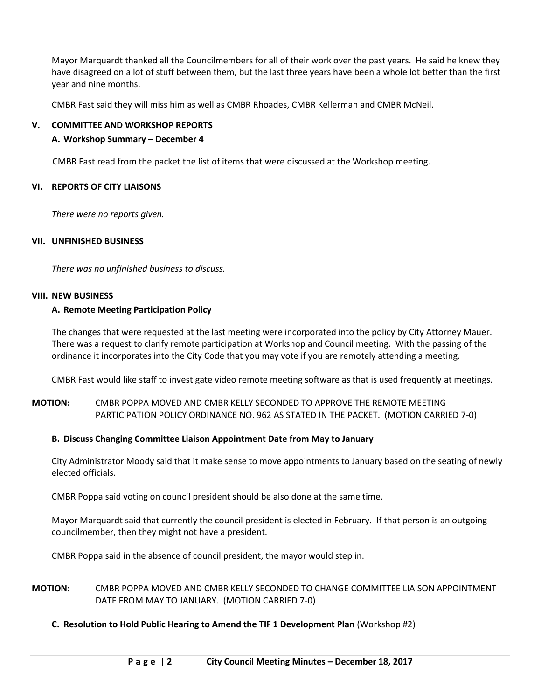Mayor Marquardt thanked all the Councilmembers for all of their work over the past years. He said he knew they have disagreed on a lot of stuff between them, but the last three years have been a whole lot better than the first year and nine months.

CMBR Fast said they will miss him as well as CMBR Rhoades, CMBR Kellerman and CMBR McNeil.

### **V. COMMITTEE AND WORKSHOP REPORTS**

## **A. Workshop Summary – December 4**

CMBR Fast read from the packet the list of items that were discussed at the Workshop meeting.

### **VI. REPORTS OF CITY LIAISONS**

*There were no reports given.* 

## **VII. UNFINISHED BUSINESS**

*There was no unfinished business to discuss.*

### **VIII. NEW BUSINESS**

## **A. Remote Meeting Participation Policy**

The changes that were requested at the last meeting were incorporated into the policy by City Attorney Mauer. There was a request to clarify remote participation at Workshop and Council meeting. With the passing of the ordinance it incorporates into the City Code that you may vote if you are remotely attending a meeting.

CMBR Fast would like staff to investigate video remote meeting software as that is used frequently at meetings.

# **MOTION:** CMBR POPPA MOVED AND CMBR KELLY SECONDED TO APPROVE THE REMOTE MEETING PARTICIPATION POLICY ORDINANCE NO. 962 AS STATED IN THE PACKET. (MOTION CARRIED 7-0)

### **B. Discuss Changing Committee Liaison Appointment Date from May to January**

City Administrator Moody said that it make sense to move appointments to January based on the seating of newly elected officials.

CMBR Poppa said voting on council president should be also done at the same time.

Mayor Marquardt said that currently the council president is elected in February. If that person is an outgoing councilmember, then they might not have a president.

CMBR Poppa said in the absence of council president, the mayor would step in.

# **MOTION:** CMBR POPPA MOVED AND CMBR KELLY SECONDED TO CHANGE COMMITTEE LIAISON APPOINTMENT DATE FROM MAY TO JANUARY. (MOTION CARRIED 7-0)

**C. Resolution to Hold Public Hearing to Amend the TIF 1 Development Plan** (Workshop #2)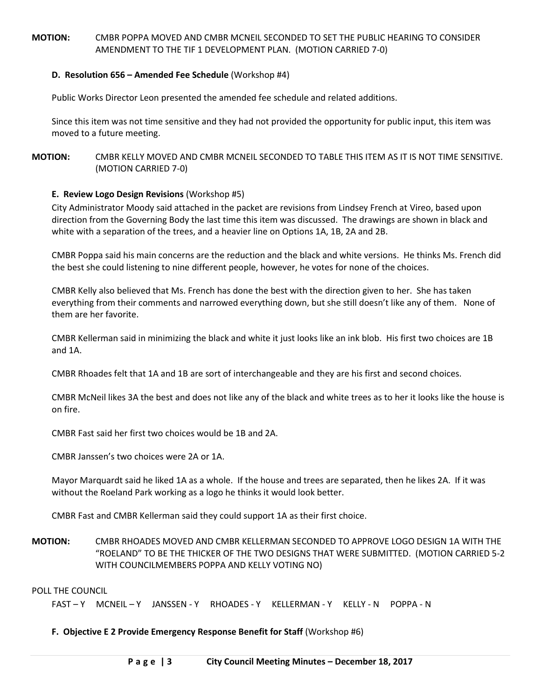# **MOTION:** CMBR POPPA MOVED AND CMBR MCNEIL SECONDED TO SET THE PUBLIC HEARING TO CONSIDER AMENDMENT TO THE TIF 1 DEVELOPMENT PLAN. (MOTION CARRIED 7-0)

### **D. Resolution 656 – Amended Fee Schedule** (Workshop #4)

Public Works Director Leon presented the amended fee schedule and related additions.

Since this item was not time sensitive and they had not provided the opportunity for public input, this item was moved to a future meeting.

## **MOTION:** CMBR KELLY MOVED AND CMBR MCNEIL SECONDED TO TABLE THIS ITEM AS IT IS NOT TIME SENSITIVE. (MOTION CARRIED 7-0)

## **E. Review Logo Design Revisions** (Workshop #5)

City Administrator Moody said attached in the packet are revisions from Lindsey French at Vireo, based upon direction from the Governing Body the last time this item was discussed. The drawings are shown in black and white with a separation of the trees, and a heavier line on Options 1A, 1B, 2A and 2B.

CMBR Poppa said his main concerns are the reduction and the black and white versions. He thinks Ms. French did the best she could listening to nine different people, however, he votes for none of the choices.

CMBR Kelly also believed that Ms. French has done the best with the direction given to her. She has taken everything from their comments and narrowed everything down, but she still doesn't like any of them. None of them are her favorite.

CMBR Kellerman said in minimizing the black and white it just looks like an ink blob. His first two choices are 1B and 1A.

CMBR Rhoades felt that 1A and 1B are sort of interchangeable and they are his first and second choices.

CMBR McNeil likes 3A the best and does not like any of the black and white trees as to her it looks like the house is on fire.

CMBR Fast said her first two choices would be 1B and 2A.

CMBR Janssen's two choices were 2A or 1A.

Mayor Marquardt said he liked 1A as a whole. If the house and trees are separated, then he likes 2A. If it was without the Roeland Park working as a logo he thinks it would look better.

CMBR Fast and CMBR Kellerman said they could support 1A as their first choice.

**MOTION:** CMBR RHOADES MOVED AND CMBR KELLERMAN SECONDED TO APPROVE LOGO DESIGN 1A WITH THE "ROELAND" TO BE THE THICKER OF THE TWO DESIGNS THAT WERE SUBMITTED. (MOTION CARRIED 5-2 WITH COUNCILMEMBERS POPPA AND KELLY VOTING NO)

POLL THE COUNCIL

FAST – Y MCNEIL – Y JANSSEN - Y RHOADES - Y KELLERMAN - Y KELLY - N POPPA - N

**F. Objective E 2 Provide Emergency Response Benefit for Staff** (Workshop #6)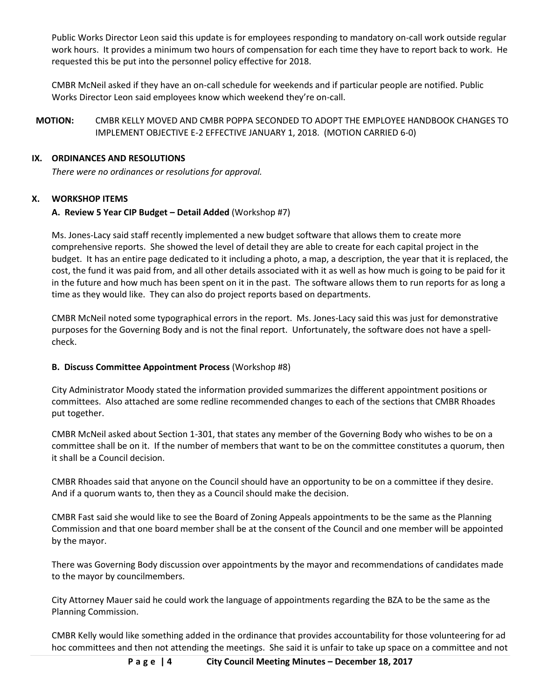Public Works Director Leon said this update is for employees responding to mandatory on-call work outside regular work hours. It provides a minimum two hours of compensation for each time they have to report back to work. He requested this be put into the personnel policy effective for 2018.

CMBR McNeil asked if they have an on-call schedule for weekends and if particular people are notified. Public Works Director Leon said employees know which weekend they're on-call.

**MOTION:** CMBR KELLY MOVED AND CMBR POPPA SECONDED TO ADOPT THE EMPLOYEE HANDBOOK CHANGES TO IMPLEMENT OBJECTIVE E-2 EFFECTIVE JANUARY 1, 2018. (MOTION CARRIED 6-0)

## **IX. ORDINANCES AND RESOLUTIONS**

*There were no ordinances or resolutions for approval.*

# **X. WORKSHOP ITEMS**

## **A. Review 5 Year CIP Budget – Detail Added** (Workshop #7)

Ms. Jones-Lacy said staff recently implemented a new budget software that allows them to create more comprehensive reports. She showed the level of detail they are able to create for each capital project in the budget. It has an entire page dedicated to it including a photo, a map, a description, the year that it is replaced, the cost, the fund it was paid from, and all other details associated with it as well as how much is going to be paid for it in the future and how much has been spent on it in the past. The software allows them to run reports for as long a time as they would like. They can also do project reports based on departments.

CMBR McNeil noted some typographical errors in the report. Ms. Jones-Lacy said this was just for demonstrative purposes for the Governing Body and is not the final report. Unfortunately, the software does not have a spellcheck.

# **B. Discuss Committee Appointment Process** (Workshop #8)

City Administrator Moody stated the information provided summarizes the different appointment positions or committees. Also attached are some redline recommended changes to each of the sections that CMBR Rhoades put together.

CMBR McNeil asked about Section 1-301, that states any member of the Governing Body who wishes to be on a committee shall be on it. If the number of members that want to be on the committee constitutes a quorum, then it shall be a Council decision.

CMBR Rhoades said that anyone on the Council should have an opportunity to be on a committee if they desire. And if a quorum wants to, then they as a Council should make the decision.

CMBR Fast said she would like to see the Board of Zoning Appeals appointments to be the same as the Planning Commission and that one board member shall be at the consent of the Council and one member will be appointed by the mayor.

There was Governing Body discussion over appointments by the mayor and recommendations of candidates made to the mayor by councilmembers.

City Attorney Mauer said he could work the language of appointments regarding the BZA to be the same as the Planning Commission.

CMBR Kelly would like something added in the ordinance that provides accountability for those volunteering for ad hoc committees and then not attending the meetings. She said it is unfair to take up space on a committee and not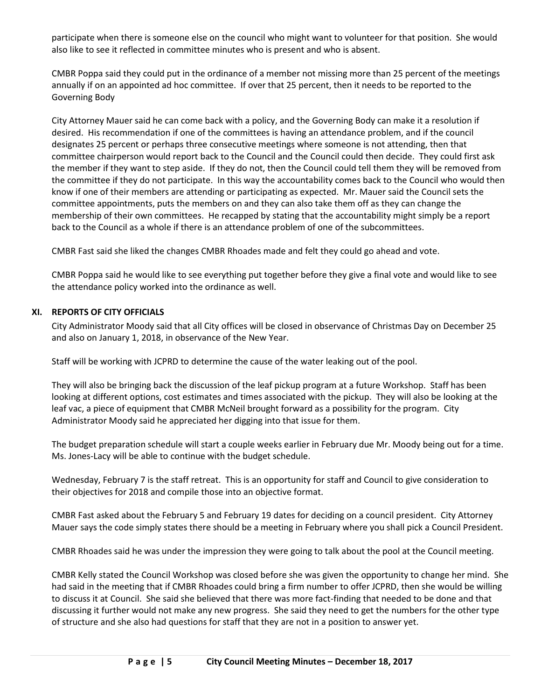participate when there is someone else on the council who might want to volunteer for that position. She would also like to see it reflected in committee minutes who is present and who is absent.

CMBR Poppa said they could put in the ordinance of a member not missing more than 25 percent of the meetings annually if on an appointed ad hoc committee. If over that 25 percent, then it needs to be reported to the Governing Body

City Attorney Mauer said he can come back with a policy, and the Governing Body can make it a resolution if desired. His recommendation if one of the committees is having an attendance problem, and if the council designates 25 percent or perhaps three consecutive meetings where someone is not attending, then that committee chairperson would report back to the Council and the Council could then decide. They could first ask the member if they want to step aside. If they do not, then the Council could tell them they will be removed from the committee if they do not participate. In this way the accountability comes back to the Council who would then know if one of their members are attending or participating as expected. Mr. Mauer said the Council sets the committee appointments, puts the members on and they can also take them off as they can change the membership of their own committees. He recapped by stating that the accountability might simply be a report back to the Council as a whole if there is an attendance problem of one of the subcommittees.

CMBR Fast said she liked the changes CMBR Rhoades made and felt they could go ahead and vote.

CMBR Poppa said he would like to see everything put together before they give a final vote and would like to see the attendance policy worked into the ordinance as well.

## **XI. REPORTS OF CITY OFFICIALS**

City Administrator Moody said that all City offices will be closed in observance of Christmas Day on December 25 and also on January 1, 2018, in observance of the New Year.

Staff will be working with JCPRD to determine the cause of the water leaking out of the pool.

They will also be bringing back the discussion of the leaf pickup program at a future Workshop. Staff has been looking at different options, cost estimates and times associated with the pickup. They will also be looking at the leaf vac, a piece of equipment that CMBR McNeil brought forward as a possibility for the program. City Administrator Moody said he appreciated her digging into that issue for them.

The budget preparation schedule will start a couple weeks earlier in February due Mr. Moody being out for a time. Ms. Jones-Lacy will be able to continue with the budget schedule.

Wednesday, February 7 is the staff retreat. This is an opportunity for staff and Council to give consideration to their objectives for 2018 and compile those into an objective format.

CMBR Fast asked about the February 5 and February 19 dates for deciding on a council president. City Attorney Mauer says the code simply states there should be a meeting in February where you shall pick a Council President.

CMBR Rhoades said he was under the impression they were going to talk about the pool at the Council meeting.

CMBR Kelly stated the Council Workshop was closed before she was given the opportunity to change her mind. She had said in the meeting that if CMBR Rhoades could bring a firm number to offer JCPRD, then she would be willing to discuss it at Council. She said she believed that there was more fact-finding that needed to be done and that discussing it further would not make any new progress. She said they need to get the numbers for the other type of structure and she also had questions for staff that they are not in a position to answer yet.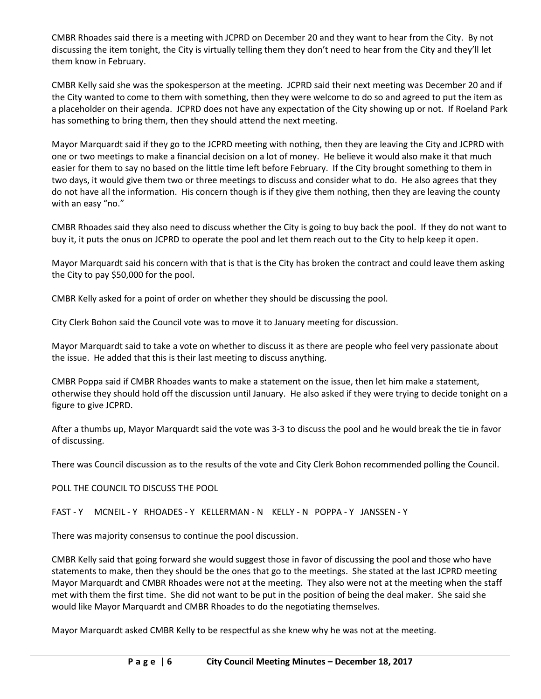CMBR Rhoades said there is a meeting with JCPRD on December 20 and they want to hear from the City. By not discussing the item tonight, the City is virtually telling them they don't need to hear from the City and they'll let them know in February.

CMBR Kelly said she was the spokesperson at the meeting. JCPRD said their next meeting was December 20 and if the City wanted to come to them with something, then they were welcome to do so and agreed to put the item as a placeholder on their agenda. JCPRD does not have any expectation of the City showing up or not. If Roeland Park has something to bring them, then they should attend the next meeting.

Mayor Marquardt said if they go to the JCPRD meeting with nothing, then they are leaving the City and JCPRD with one or two meetings to make a financial decision on a lot of money. He believe it would also make it that much easier for them to say no based on the little time left before February. If the City brought something to them in two days, it would give them two or three meetings to discuss and consider what to do. He also agrees that they do not have all the information. His concern though is if they give them nothing, then they are leaving the county with an easy "no."

CMBR Rhoades said they also need to discuss whether the City is going to buy back the pool. If they do not want to buy it, it puts the onus on JCPRD to operate the pool and let them reach out to the City to help keep it open.

Mayor Marquardt said his concern with that is that is the City has broken the contract and could leave them asking the City to pay \$50,000 for the pool.

CMBR Kelly asked for a point of order on whether they should be discussing the pool.

City Clerk Bohon said the Council vote was to move it to January meeting for discussion.

Mayor Marquardt said to take a vote on whether to discuss it as there are people who feel very passionate about the issue. He added that this is their last meeting to discuss anything.

CMBR Poppa said if CMBR Rhoades wants to make a statement on the issue, then let him make a statement, otherwise they should hold off the discussion until January. He also asked if they were trying to decide tonight on a figure to give JCPRD.

After a thumbs up, Mayor Marquardt said the vote was 3-3 to discuss the pool and he would break the tie in favor of discussing.

There was Council discussion as to the results of the vote and City Clerk Bohon recommended polling the Council.

POLL THE COUNCIL TO DISCUSS THE POOL

FAST - Y MCNEIL - Y RHOADES - Y KELLERMAN - N KELLY - N POPPA - Y JANSSEN - Y

There was majority consensus to continue the pool discussion.

CMBR Kelly said that going forward she would suggest those in favor of discussing the pool and those who have statements to make, then they should be the ones that go to the meetings. She stated at the last JCPRD meeting Mayor Marquardt and CMBR Rhoades were not at the meeting. They also were not at the meeting when the staff met with them the first time. She did not want to be put in the position of being the deal maker. She said she would like Mayor Marquardt and CMBR Rhoades to do the negotiating themselves.

Mayor Marquardt asked CMBR Kelly to be respectful as she knew why he was not at the meeting.